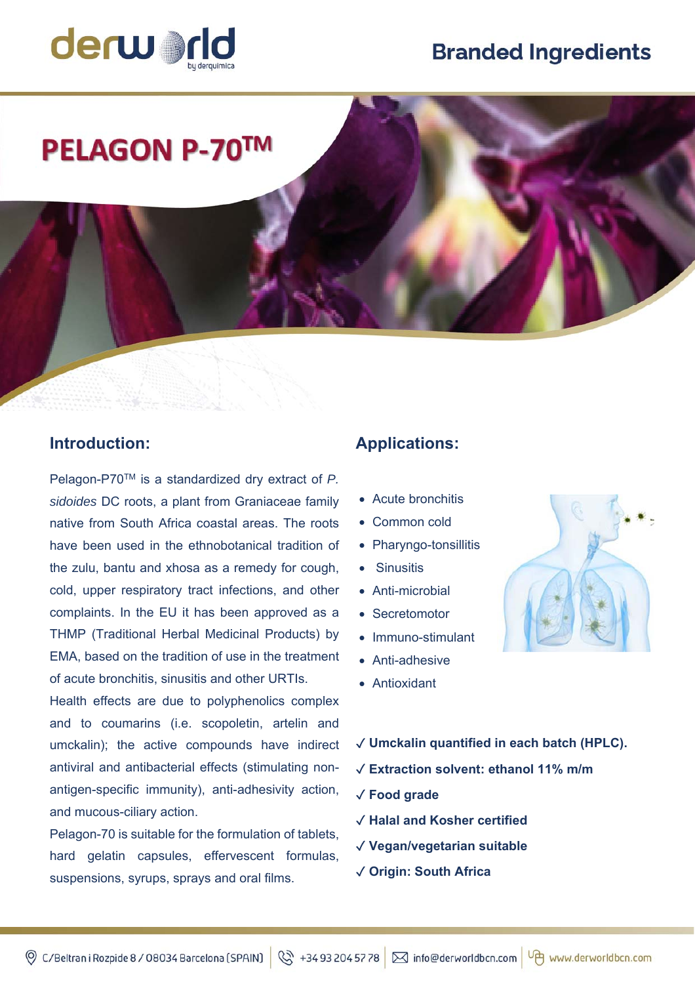# **Branded Ingredients**



# **PELAGON P-70™**

### **Introduction:**

Pelagon-P70TM is a standardized dry extract of *P. sidoides* DC roots, a plant from Graniaceae family native from South Africa coastal areas. The roots have been used in the ethnobotanical tradition of the zulu, bantu and xhosa as a remedy for cough, cold, upper respiratory tract infections, and other complaints. In the EU it has been approved as a THMP (Traditional Herbal Medicinal Products) by EMA, based on the tradition of use in the treatment of acute bronchitis, sinusitis and other URTIs.

Health effects are due to polyphenolics complex and to coumarins (i.e. scopoletin, artelin and umckalin); the active compounds have indirect antiviral and antibacterial effects (stimulating nonantigen-specific immunity), anti-adhesivity action, and mucous-ciliary action.

Pelagon-70 is suitable for the formulation of tablets, hard gelatin capsules, effervescent formulas, suspensions, syrups, sprays and oral films.

## **Applications:**

- Acute bronchitis
- Common cold
- Pharyngo-tonsillitis
- **Sinusitis**
- Anti-microbial
- Secretomotor
- Immuno-stimulant
- Anti-adhesive
- Antioxidant



- ✓ **Umckalin quantified in each batch (HPLC).**
- ✓ **Extraction solvent: ethanol 11% m/m**
- ✓ **Food grade**
- ✓ **Halal and Kosher certified**
- ✓ **Vegan/vegetarian suitable**
- ✓ **Origin: South Africa**